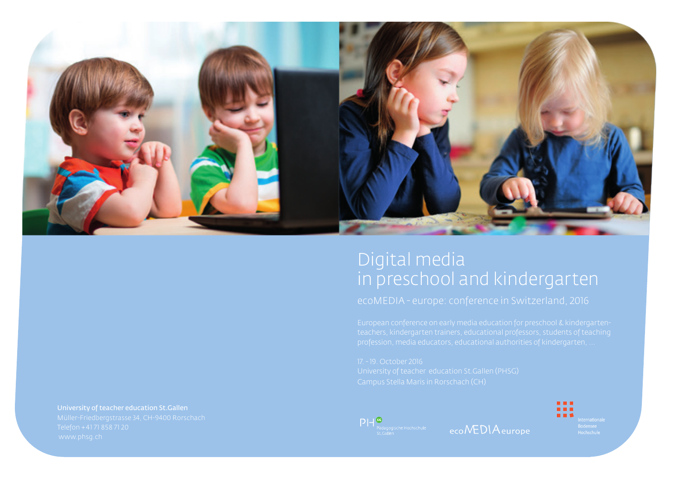

# Digital media in preschool and kindergarten



ecoNEDIAeurope